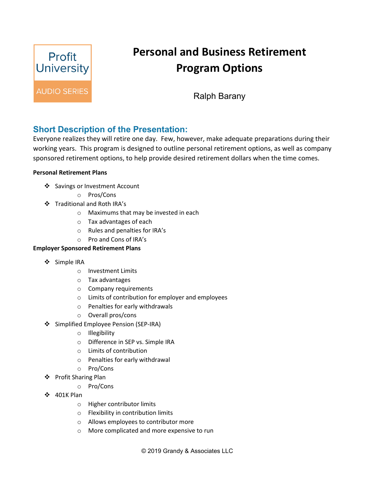

## **Personal and Business Retirement Program Options**

Ralph Barany

## **Short Description of the Presentation:**

Everyone realizes they will retire one day. Few, however, make adequate preparations during their working years. This program is designed to outline personal retirement options, as well as company sponsored retirement options, to help provide desired retirement dollars when the time comes.

## **Personal Retirement Plans**

- ❖ Savings or Investment Account
	- o Pros/Cons
- Traditional and Roth IRA's
	- o Maximums that may be invested in each
	- o Tax advantages of each
	- o Rules and penalties for IRA's
	- o Pro and Cons of IRA's

## **Employer Sponsored Retirement Plans**

- ❖ Simple IRA
	- o Investment Limits
	- o Tax advantages
	- o Company requirements
	- o Limits of contribution for employer and employees
	- o Penalties for early withdrawals
	- o Overall pros/cons
- Simplified Employee Pension (SEP-IRA)
	- o Illegibility
	- o Difference in SEP vs. Simple IRA
	- o Limits of contribution
	- o Penalties for early withdrawal
	- o Pro/Cons
- Profit Sharing Plan
	- o Pro/Cons
- **↓** 401K Plan
	- o Higher contributor limits
	- o Flexibility in contribution limits
	- o Allows employees to contributor more
	- o More complicated and more expensive to run